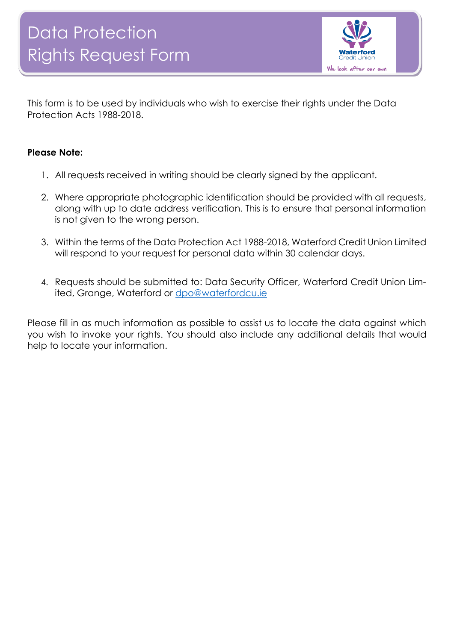

This form is to be used by individuals who wish to exercise their rights under the Data Protection Acts 1988-2018.

## **Please Note:**

- 1. All requests received in writing should be clearly signed by the applicant.
- 2. Where appropriate photographic identification should be provided with all requests, along with up to date address verification. This is to ensure that personal information is not given to the wrong person.
- 3. Within the terms of the Data Protection Act 1988-2018, Waterford Credit Union Limited will respond to your request for personal data within 30 calendar days.
- 4. Requests should be submitted to: Data Security Officer, Waterford Credit Union Limited, Grange, Waterford or [dpo@waterfordcu.ie](mailto:dpo@waterfordcu.ie)

Please fill in as much information as possible to assist us to locate the data against which you wish to invoke your rights. You should also include any additional details that would help to locate your information.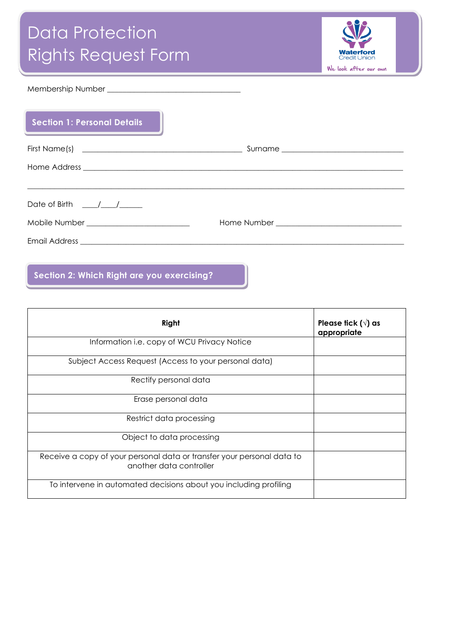# Data Protection Rights Request Form



#### Membership Number \_\_\_\_\_\_\_\_\_\_\_\_\_\_\_\_\_\_\_\_\_\_\_\_\_\_\_\_\_\_\_\_\_\_\_

**ls**

| <b>Section 1: Personal Details</b>        |  |
|-------------------------------------------|--|
|                                           |  |
|                                           |  |
|                                           |  |
| Date of Birth / /                         |  |
| Mobile Number ___________________________ |  |
|                                           |  |

## **Section 2: Which Right are you exercising?**

| Right                                                                                             | Please tick ( $\sqrt{ }$ ) as<br>appropriate |
|---------------------------------------------------------------------------------------------------|----------------------------------------------|
| Information i.e. copy of WCU Privacy Notice                                                       |                                              |
| Subject Access Request (Access to your personal data)                                             |                                              |
| Rectify personal data                                                                             |                                              |
| Erase personal data                                                                               |                                              |
| Restrict data processing                                                                          |                                              |
| Object to data processing                                                                         |                                              |
| Receive a copy of your personal data or transfer your personal data to<br>another data controller |                                              |
| To intervene in automated decisions about you including profiling                                 |                                              |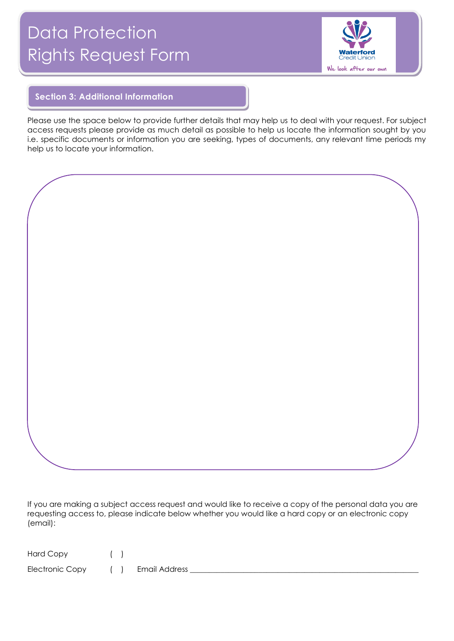# Data Protection Rights Request Form



### **Section 3: Additional Information**

**ls**

Please use the space below to provide further details that may help us to deal with your request. For subject access requests please provide as much detail as possible to help us locate the information sought by you i.e. specific documents or information you are seeking, types of documents, any relevant time periods my help us to locate your information.

If you are making a subject access request and would like to receive a copy of the personal data you are requesting access to, please indicate below whether you would like a hard copy or an electronic copy (email):

| Hard Copy |  |
|-----------|--|
|           |  |

Electronic Copy ( ) Email Address \_